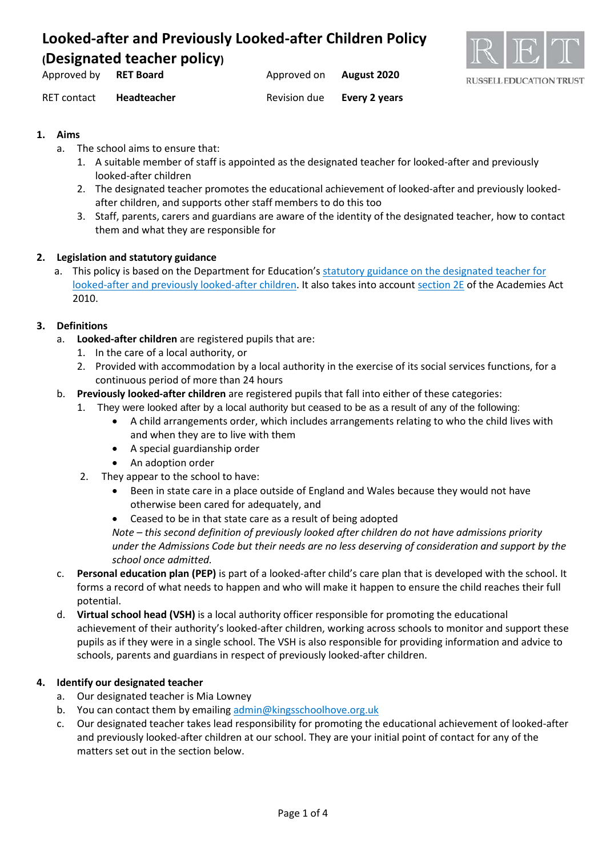

| Approved by | <b>RET Board</b>   | Approved on  | August 2020   |
|-------------|--------------------|--------------|---------------|
| RET contact | <b>Headteacher</b> | Revision due | Every 2 years |

### **1. Aims**

- a. The school aims to ensure that:
	- 1. A suitable member of staff is appointed as the designated teacher for looked-after and previously looked-after children
	- 2. The designated teacher promotes the educational achievement of looked-after and previously lookedafter children, and supports other staff members to do this too
	- 3. Staff, parents, carers and guardians are aware of the identity of the designated teacher, how to contact them and what they are responsible for

#### **2. Legislation and statutory guidance**

a. This policy is based on the Department for Education's [statutory guidance on the designated teacher for](https://www.gov.uk/government/publications/designated-teacher-for-looked-after-children)  [looked-after and previously looked-after children.](https://www.gov.uk/government/publications/designated-teacher-for-looked-after-children) It also takes into accoun[t section 2E](http://www.legislation.gov.uk/ukpga/2010/32/section/2E) of the Academies Act 2010.

#### **3. Definitions**

- a. **Looked-after children** are registered pupils that are:
	- 1. In the care of a local authority, or
	- 2. Provided with accommodation by a local authority in the exercise of its social services functions, for a continuous period of more than 24 hours
- b. **Previously looked-after children** are registered pupils that fall into either of these categories:
	- 1. They were looked after by a local authority but ceased to be as a result of any of the following:
		- A child arrangements order, which includes arrangements relating to who the child lives with and when they are to live with them
		- A special guardianship order
		- An adoption order
	- 2. They appear to the school to have:
		- Been in state care in a place outside of England and Wales because they would not have otherwise been cared for adequately, and
		- Ceased to be in that state care as a result of being adopted

*Note – this second definition of previously looked after children do not have admissions priority under the Admissions Code but their needs are no less deserving of consideration and support by the school once admitted.*

- c. **Personal education plan (PEP)** is part of a looked-after child's care plan that is developed with the school. It forms a record of what needs to happen and who will make it happen to ensure the child reaches their full potential.
- d. **Virtual school head (VSH)** is a local authority officer responsible for promoting the educational achievement of their authority's looked-after children, working across schools to monitor and support these pupils as if they were in a single school. The VSH is also responsible for providing information and advice to schools, parents and guardians in respect of previously looked-after children.

### **4. Identify our designated teacher**

- a. Our designated teacher is Mia Lowney
- b. You can contact them by emailing [admin@kingsschoolhove.org.uk](mailto:admin@kingsschoolhove.org.uk)
- c. Our designated teacher takes lead responsibility for promoting the educational achievement of looked-after and previously looked-after children at our school. They are your initial point of contact for any of the matters set out in the section below.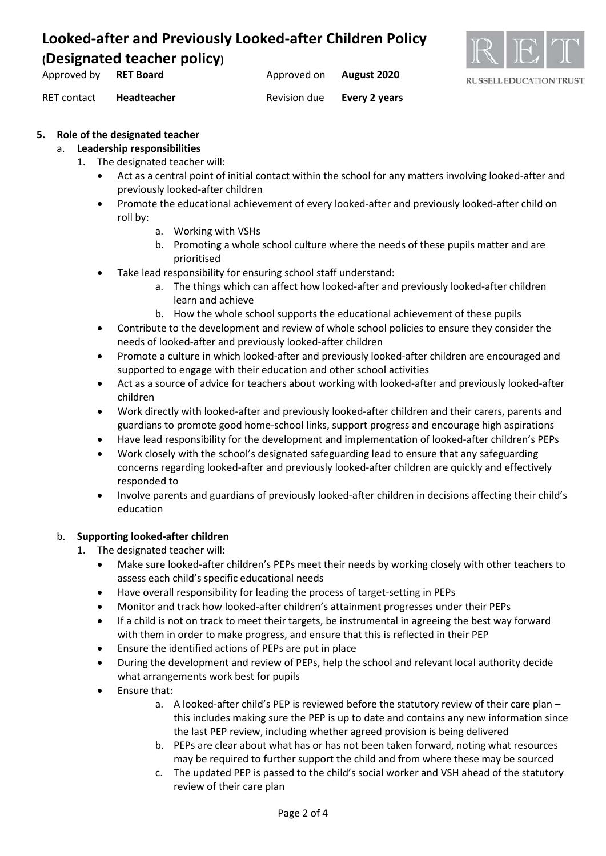

Approved by **RET Board Approved on August 2020** RET contact **Headteacher** Revision due **Every 2 years**

#### **5. Role of the designated teacher**

#### a. **Leadership responsibilities**

- 1. The designated teacher will:
	- Act as a central point of initial contact within the school for any matters involving looked-after and previously looked-after children
	- Promote the educational achievement of every looked-after and previously looked-after child on roll by:
		- a. Working with VSHs
		- b. Promoting a whole school culture where the needs of these pupils matter and are prioritised
	- Take lead responsibility for ensuring school staff understand:
		- a. The things which can affect how looked-after and previously looked-after children learn and achieve
		- b. How the whole school supports the educational achievement of these pupils
	- Contribute to the development and review of whole school policies to ensure they consider the needs of looked-after and previously looked-after children
	- Promote a culture in which looked-after and previously looked-after children are encouraged and supported to engage with their education and other school activities
	- Act as a source of advice for teachers about working with looked-after and previously looked-after children
	- Work directly with looked-after and previously looked-after children and their carers, parents and guardians to promote good home-school links, support progress and encourage high aspirations
	- Have lead responsibility for the development and implementation of looked-after children's PEPs
	- Work closely with the school's designated safeguarding lead to ensure that any safeguarding concerns regarding looked-after and previously looked-after children are quickly and effectively responded to
	- Involve parents and guardians of previously looked-after children in decisions affecting their child's education

#### b. **Supporting looked-after children**

- 1. The designated teacher will:
	- Make sure looked-after children's PEPs meet their needs by working closely with other teachers to assess each child's specific educational needs
	- Have overall responsibility for leading the process of target-setting in PEPs
	- Monitor and track how looked-after children's attainment progresses under their PEPs
	- If a child is not on track to meet their targets, be instrumental in agreeing the best way forward with them in order to make progress, and ensure that this is reflected in their PEP
	- Ensure the identified actions of PEPs are put in place
	- During the development and review of PEPs, help the school and relevant local authority decide what arrangements work best for pupils
	- Ensure that:
		- a. A looked-after child's PEP is reviewed before the statutory review of their care plan this includes making sure the PEP is up to date and contains any new information since the last PEP review, including whether agreed provision is being delivered
		- b. PEPs are clear about what has or has not been taken forward, noting what resources may be required to further support the child and from where these may be sourced
		- c. The updated PEP is passed to the child's social worker and VSH ahead of the statutory review of their care plan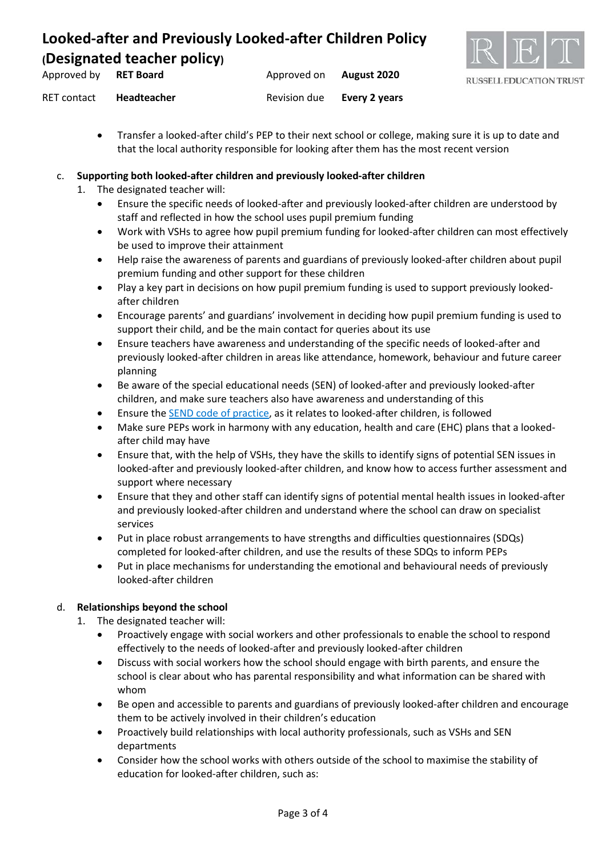

| Approved by | <b>RET Board</b> | Approved on  | August 2020   |
|-------------|------------------|--------------|---------------|
| RET contact | Headteacher      | Revision due | Every 2 years |

• Transfer a looked-after child's PEP to their next school or college, making sure it is up to date and that the local authority responsible for looking after them has the most recent version

#### c. **Supporting both looked-after children and previously looked-after children**

- 1. The designated teacher will:
	- Ensure the specific needs of looked-after and previously looked-after children are understood by staff and reflected in how the school uses pupil premium funding
	- Work with VSHs to agree how pupil premium funding for looked-after children can most effectively be used to improve their attainment
	- Help raise the awareness of parents and guardians of previously looked-after children about pupil premium funding and other support for these children
	- Play a key part in decisions on how pupil premium funding is used to support previously lookedafter children
	- Encourage parents' and guardians' involvement in deciding how pupil premium funding is used to support their child, and be the main contact for queries about its use
	- Ensure teachers have awareness and understanding of the specific needs of looked-after and previously looked-after children in areas like attendance, homework, behaviour and future career planning
	- Be aware of the special educational needs (SEN) of looked-after and previously looked-after children, and make sure teachers also have awareness and understanding of this
	- Ensure the [SEND code of practice,](https://www.gov.uk/government/publications/send-code-of-practice-0-to-25) as it relates to looked-after children, is followed
	- Make sure PEPs work in harmony with any education, health and care (EHC) plans that a lookedafter child may have
	- Ensure that, with the help of VSHs, they have the skills to identify signs of potential SEN issues in looked-after and previously looked-after children, and know how to access further assessment and support where necessary
	- Ensure that they and other staff can identify signs of potential mental health issues in looked-after and previously looked-after children and understand where the school can draw on specialist services
	- Put in place robust arrangements to have strengths and difficulties questionnaires (SDQs) completed for looked-after children, and use the results of these SDQs to inform PEPs
	- Put in place mechanisms for understanding the emotional and behavioural needs of previously looked-after children

#### d. **Relationships beyond the school**

- 1. The designated teacher will:
	- Proactively engage with social workers and other professionals to enable the school to respond effectively to the needs of looked-after and previously looked-after children
	- Discuss with social workers how the school should engage with birth parents, and ensure the school is clear about who has parental responsibility and what information can be shared with whom
	- Be open and accessible to parents and guardians of previously looked-after children and encourage them to be actively involved in their children's education
	- Proactively build relationships with local authority professionals, such as VSHs and SEN departments
	- Consider how the school works with others outside of the school to maximise the stability of education for looked-after children, such as: